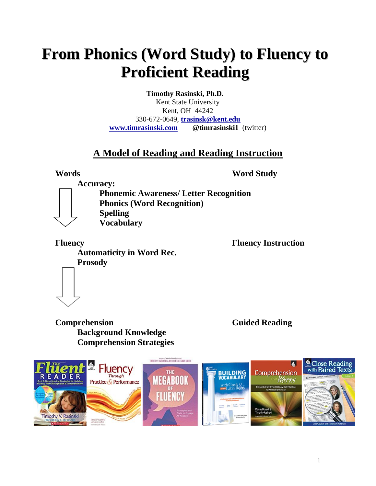## **From Phonics (Word Study) to Fluency to Proficient Reading**

**Timothy Rasinski, Ph.D.** Kent State University Kent, OH 44242 330-672-0649, **[trasinsk@kent.edu](mailto:trasinsk@kent.edu) [www.timrasinski.com](http://www.timrasinski.com/) @timrasinski1** (twitter)

### **A Model of Reading and Reading Instruction**

**Words Word Study**

**Accuracy:**

**Phonemic Awareness/ Letter Recognition Phonics (Word Recognition) Spelling Vocabulary**

**Fluency Fluency Instruction Automaticity in Word Rec. Prosody**

**Comprehension Guided Reading Background Knowledge Comprehension Strategies** 

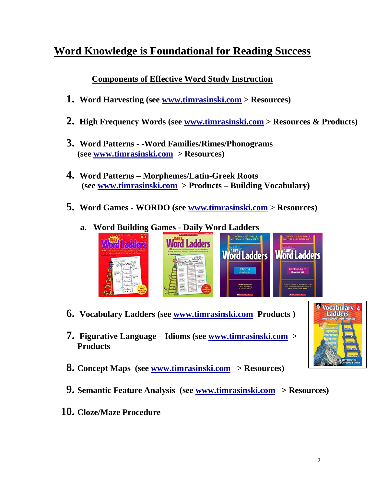## **Word Knowledge is Foundational for Reading Success**

**Components of Effective Word Study Instruction**

- **1. Word Harvesting (see [www.timrasinski.com](http://www.timrasinski.com/) > Resources)**
- **2. High Frequency Words (see [www.timrasinski.com](http://www.timrasinski.com/) > Resources & Products)**
- **3. Word Patterns - -Word Families/Rimes/Phonograms (see [www.timrasinski.com](http://www.timrasinski.com/) > Resources)**
- **4. Word Patterns – Morphemes/Latin-Greek Roots (see [www.timrasinski.com](http://www.timrasinski.com/) > Products – Building Vocabulary)**
- **5. Word Games - WORDO (see [www.timrasinski.com](http://www.timrasinski.com/) > Resources)**
	- Ladders **Word Ladders Word Ladders Word Ladders**  $\parallel$
- **6. Vocabulary Ladders (see [www.timrasinski.com](http://www.timrasinski.com/) Products )**
- **7. Figurative Language – Idioms (see [www.timrasinski.com](http://www.timrasinski.com/) > Products**
- **8. Concept Maps (see [www.timrasinski.com](http://www.timrasinski.com/) > Resources)**
- **9. Semantic Feature Analysis (see [www.timrasinski.com](http://www.timrasinski.com/) > Resources)**
- **10. Cloze/Maze Procedure**

## **a. Word Building Games - Daily Word Ladders**



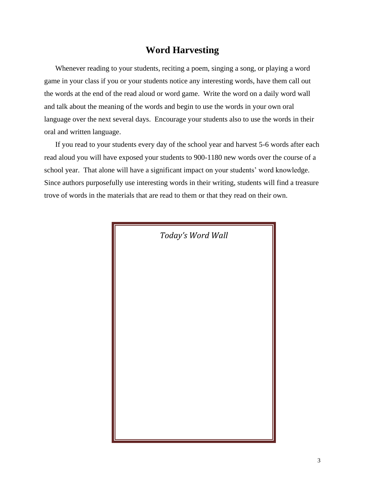### **Word Harvesting**

Whenever reading to your students, reciting a poem, singing a song, or playing a word game in your class if you or your students notice any interesting words, have them call out the words at the end of the read aloud or word game. Write the word on a daily word wall and talk about the meaning of the words and begin to use the words in your own oral language over the next several days. Encourage your students also to use the words in their oral and written language.

If you read to your students every day of the school year and harvest 5-6 words after each read aloud you will have exposed your students to 900-1180 new words over the course of a school year. That alone will have a significant impact on your students' word knowledge. Since authors purposefully use interesting words in their writing, students will find a treasure trove of words in the materials that are read to them or that they read on their own.

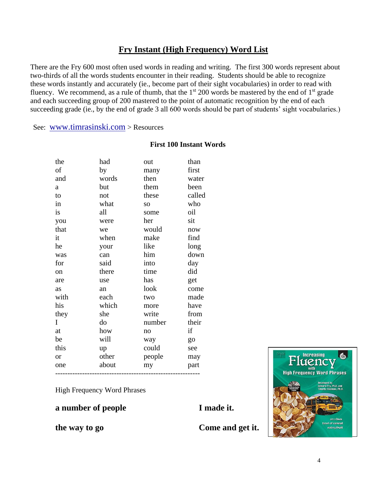### **Fry Instant (High Frequency) Word List**

There are the Fry 600 most often used words in reading and writing. The first 300 words represent about two-thirds of all the words students encounter in their reading. Students should be able to recognize these words instantly and accurately (ie., become part of their sight vocabularies) in order to read with fluency. We recommend, as a rule of thumb, that the  $1<sup>st</sup> 200$  words be mastered by the end of  $1<sup>st</sup>$  grade and each succeeding group of 200 mastered to the point of automatic recognition by the end of each succeeding grade (ie., by the end of grade 3 all 600 words should be part of students' sight vocabularies.)

See: [www.timrasinski.com](http://www.timrasinski.com/) > Resources

#### **First 100 Instant Words**

| the           | had   | out    | than   |
|---------------|-------|--------|--------|
| οf            | by    | many   | first  |
| and           | words | then   | water  |
| a             | but   | them   | been   |
| to            | not   | these  | called |
| in            | what  | SO.    | who    |
| is            | all   | some   | oil    |
| you           | were  | her    | sit    |
| that          | we    | would  | now    |
| it            | when  | make   | find   |
| he            | your  | like   | long   |
| was           | can   | him    | down   |
| for           | said  | into   | day    |
| <sub>on</sub> | there | time   | did    |
| are           | use   | has    | get    |
| as            | an    | look   | come   |
| with          | each  | two    | made   |
| his           | which | more   | have   |
| they          | she   | write  | from   |
| I             | do    | number | their  |
| at            | how   | no     | if     |
| be            | will  | way    | go     |
| this          | up    | could  | see    |
| <b>or</b>     | other | people | may    |
| one           | about | my     | part   |
|               |       |        |        |

High Frequency Word Phrases

### **a number of people**

**I made it.**

**the way to go**

**Come and get it.**

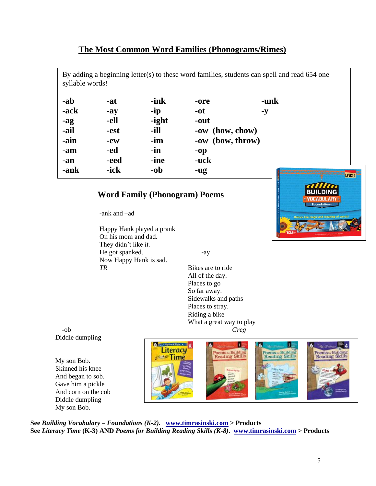#### **The Most Common Word Families (Phonograms/Rimes)**

By adding a beginning letter(s) to these word families, students can spell and read 654 one syllable words!

| -ab  | -at   | -ink  | -ore             | -unk    |
|------|-------|-------|------------------|---------|
| -ack | $-ay$ | -ip   | -ot              | $-y$    |
| -ag  | -ell  | -ight | -out             |         |
| -ail | -est  | -ill  | -ow (how, chow)  |         |
| -ain | $-ew$ | -im   | -ow (bow, throw) |         |
| -am  | -ed   | -in   | $-op$            |         |
| -an  | -eed  | -ine  | -uck             |         |
| -ank | -ick  | $-ob$ | -ug              | LEVEL 1 |
|      |       |       |                  |         |

#### **Word Family (Phonogram) Poems**

-ank and –ad

Happy Hank played a prank On his mom and dad. They didn't like it. He got spanked. -ay Now Happy Hank is sad. *TR* Bikes are to ride

Source: Fry, E. (1998). The most common phonograms. The most common phonograms. The most common phonograms. Th<br>Source: Fry, E. (1998). The most common phonograms. The most common phonograms. The most common phonograms. Th<br>

All of the day. Places to go So far away. Sidewalks and paths Places to stray. Riding a bike What a great way to play

 -ob *Greg* Diddle dumpling

My son Bob. Skinned his knee And began to sob. Gave him a pickle And corn on the cob Diddle dumpling My son Bob.



**See** *Building Vocabulary – Foundations (K-2).* **[www.timrasinski.com](http://www.timrasinski.com/) > Products See** *Literacy Time* **(K-3) AND** *Poems for Building Reading Skills (K-8)***. [www.timrasinski.com](http://www.timrasinski.com/) > Products**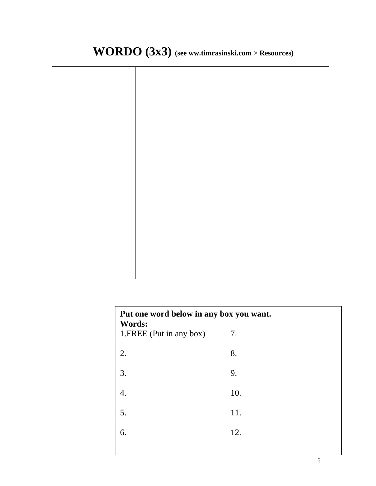## **WORDO (3x3) (see ww.timrasinski.com > Resources)**

| Put one word below in any box you want.<br>Words: |     |  |
|---------------------------------------------------|-----|--|
| 1. FREE (Put in any box)                          | 7.  |  |
| 2.                                                | 8.  |  |
| 3.                                                | 9.  |  |
| 4.                                                | 10. |  |
| 5.                                                | 11. |  |
| 6.                                                | 12. |  |
|                                                   |     |  |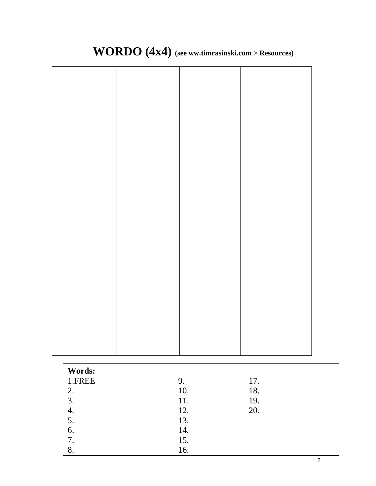## **WORDO (4x4) (see ww.timrasinski.com > Resources)**

| Words: |     |     |
|--------|-----|-----|
| 1.FREE | 9.  | 17. |
| 2.     | 10. | 18. |
| 3.     | 11. | 19. |
| 4.     | 12. | 20. |
| 5.     | 13. |     |
| 6.     | 14. |     |
| 7.     | 15. |     |
| 8.     | 16. |     |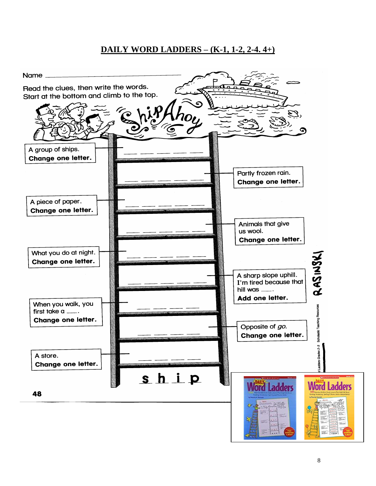### **DAILY WORD LADDERS – (K-1, 1-2, 2-4. 4+)**

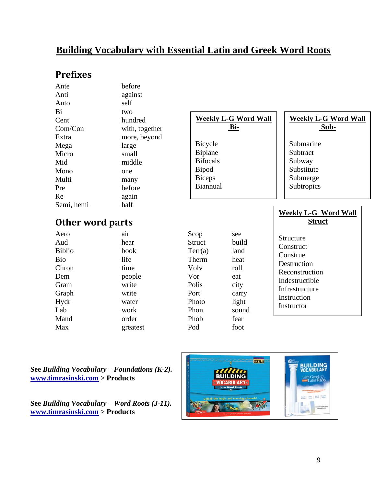### **Building Vocabulary with Essential Latin and Greek Word Roots**

### **Prefixes**

| Ante                    | before         |                 |                             |                               |
|-------------------------|----------------|-----------------|-----------------------------|-------------------------------|
| Anti                    | against        |                 |                             |                               |
| Auto                    | self           |                 |                             |                               |
| Bi                      | two            |                 |                             |                               |
| Cent                    | hundred        |                 | <b>Weekly L-G Word Wall</b> | <b>Weekly L-G Word Wall</b>   |
| Com/Con                 | with, together |                 | <u>Bi-</u>                  | Sub-                          |
| Extra                   | more, beyond   |                 |                             |                               |
| Mega                    | large          | Bicycle         |                             | Submarine                     |
| Micro                   | small          | Biplane         |                             | Subtract                      |
| Mid                     | middle         | <b>Bifocals</b> |                             | Subway                        |
| Mono                    | one            | Bipod           |                             | Substitute                    |
| Multi                   | many           | <b>Biceps</b>   |                             | Submerge                      |
| Pre                     | before         | Biannual        |                             | Subtropics                    |
| Re                      | again          |                 |                             |                               |
| Semi, hemi              | half           |                 |                             |                               |
|                         |                |                 |                             | <b>Weekly L-G Word Wall</b>   |
| <b>Other word parts</b> |                |                 |                             | <b>Struct</b>                 |
| Aero                    | air            | Scop            | see                         |                               |
| Aud                     | hear           | <b>Struct</b>   | build                       | Structure                     |
| <b>Biblio</b>           | book           | Terr(a)         | land                        | Construct                     |
| <b>Bio</b>              | life           | Therm           | heat                        | Construe                      |
| Chron                   | time           | Volv            | roll                        | Destruction<br>Reconstruction |
| Dem                     | people         | Vor             | eat                         | Indestructible                |
| Gram                    | write          | Polis           | city                        | Infrastructure                |
| Graph                   | write          | Port            | carry                       | Instruction                   |
| Hydr                    | water          | Photo           | light                       | Instructor                    |
| Lab                     | work           | Phon            | sound                       |                               |
| Mand                    | order          | Phob            | fear                        |                               |
| Max                     | greatest       | Pod             | foot                        |                               |
|                         |                |                 |                             |                               |

**See** *Building Vocabulary – Foundations (K-2).*  **[www.timrasinski.com](http://www.timrasinski.com/) > Products**

**See** *Building Vocabulary – Word Roots (3-11).*  **[www.timrasinski.com](http://www.timrasinski.com/) > Products**

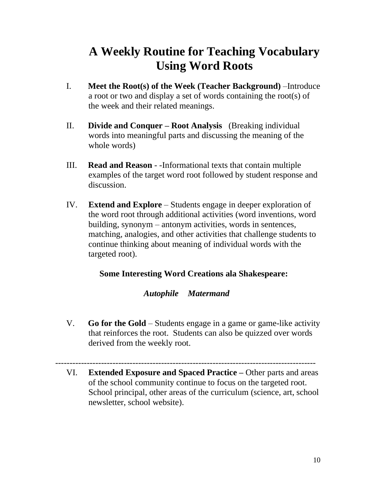## **A Weekly Routine for Teaching Vocabulary Using Word Roots**

- I. **Meet the Root(s) of the Week (Teacher Background)** –Introduce a root or two and display a set of words containing the root(s) of the week and their related meanings.
- II. **Divide and Conquer – Root Analysis** (Breaking individual words into meaningful parts and discussing the meaning of the whole words)
- III. **Read and Reason** -Informational texts that contain multiple examples of the target word root followed by student response and discussion.
- IV. **Extend and Explore** Students engage in deeper exploration of the word root through additional activities (word inventions, word building, synonym – antonym activities, words in sentences, matching, analogies, and other activities that challenge students to continue thinking about meaning of individual words with the targeted root).

### **Some Interesting Word Creations ala Shakespeare:**

### *Autophile Matermand*

V. **Go for the Gold** – Students engage in a game or game-like activity that reinforces the root. Students can also be quizzed over words derived from the weekly root.

VI. **Extended Exposure and Spaced Practice –** Other parts and areas of the school community continue to focus on the targeted root. School principal, other areas of the curriculum (science, art, school newsletter, school website).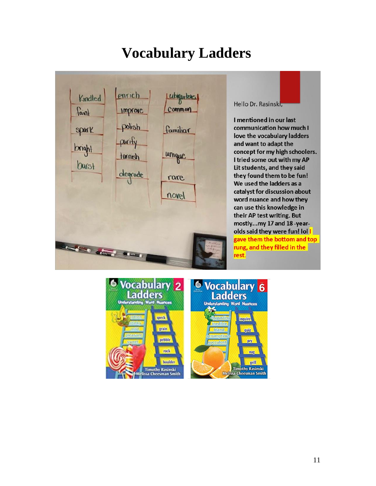## **Vocabulary Ladders**



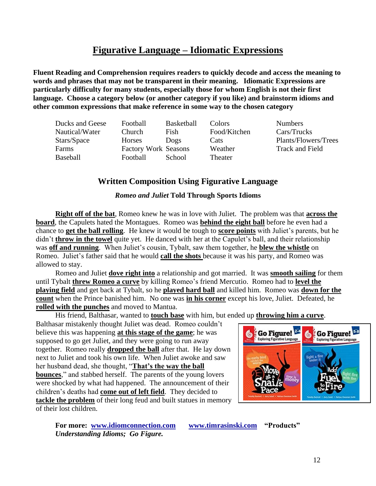### **Figurative Language – Idiomatic Expressions**

**Fluent Reading and Comprehension requires readers to quickly decode and access the meaning to words and phrases that may not be transparent in their meaning. Idiomatic Expressions are particularly difficulty for many students, especially those for whom English is not their first language. Choose a category below (or another category if you like) and brainstorm idioms and other common expressions that make reference in some way to the chosen category**

| Ducks and Geese | Football                    | <b>Basketball</b> | Colors       | <b>Numbers</b>       |
|-----------------|-----------------------------|-------------------|--------------|----------------------|
|                 |                             |                   |              |                      |
| Nautical/Water  | Church                      | Fish              | Food/Kitchen | Cars/Trucks          |
| Stars/Space     | Horses                      | Dogs              | Cats         | Plants/Flowers/Trees |
| Farms           | <b>Factory Work Seasons</b> |                   | Weather      | Track and Field      |
| Baseball        | Football                    | School            | Theater      |                      |

### **Written Composition Using Figurative Language**

#### *Romeo and Juliet* **Told Through Sports Idioms**

**Right off of the bat**, Romeo knew he was in love with Juliet. The problem was that **across the board**, the Capulets hated the Montagues. Romeo was **behind the eight ball** before he even had a chance to **get the ball rolling**. He knew it would be tough to **score points** with Juliet's parents, but he didn't **throw in the towel** quite yet. He danced with her at the Capulet's ball, and their relationship was **off and running**. When Juliet's cousin, Tybalt, saw them together, he **blew the whistle** on Romeo. Juliet's father said that he would **call the shots** because it was his party, and Romeo was allowed to stay.

Romeo and Juliet **dove right into** a relationship and got married. It was **smooth sailing** for them until Tybalt **threw Romeo a curve** by killing Romeo's friend Mercutio. Romeo had to **level the playing field** and get back at Tybalt, so he **played hard ball** and killed him. Romeo was **down for the count** when the Prince banished him. No one was **in his corner** except his love, Juliet. Defeated, he **rolled with the punches** and moved to Mantua.

His friend, Balthasar, wanted to **touch base** with him, but ended up **throwing him a curve**.

Balthasar mistakenly thought Juliet was dead. Romeo couldn't believe this was happening **at this stage of the game**; he was supposed to go get Juliet, and they were going to run away together. Romeo really **dropped the ball** after that. He lay down next to Juliet and took his own life. When Juliet awoke and saw her husband dead, she thought, "**That's the way the ball bounces**," and stabbed herself. The parents of the young lovers were shocked by what had happened. The announcement of their children's deaths had **come out of left field**. They decided to **tackle the problem** of their long feud and built statues in memory of their lost children.



**For more: [www.idiomconnection.com](http://www.idiomconnection.com/) [www.timrasinski.com](http://www.timrasinski.com/) "Products"**  *Understanding Idioms; Go Figure.*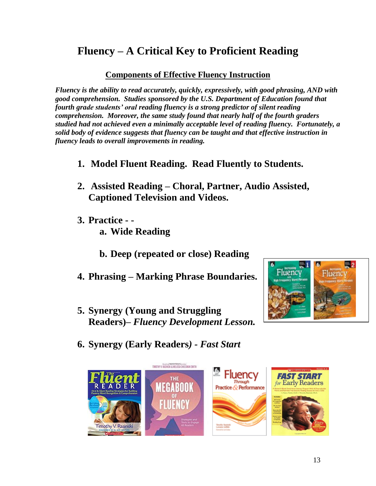## **Fluency – A Critical Key to Proficient Reading**

### **Components of Effective Fluency Instruction**

*Fluency is the ability to read accurately, quickly, expressively, with good phrasing, AND with good comprehension. Studies sponsored by the U.S. Department of Education found that fourth grade students' oral reading fluency is a strong predictor of silent reading comprehension. Moreover, the same study found that nearly half of the fourth graders studied had not achieved even a minimally acceptable level of reading fluency. Fortunately, a solid body of evidence suggests that fluency can be taught and that effective instruction in fluency leads to overall improvements in reading.*

- **1. Model Fluent Reading. Read Fluently to Students.**
- **2. Assisted Reading – Choral, Partner, Audio Assisted, Captioned Television and Videos.**
- **3. Practice - a. Wide Reading**
	- **b. Deep (repeated or close) Reading**
- **4. Phrasing – Marking Phrase Boundaries.**
- **5. Synergy (Young and Struggling Readers)–** *Fluency Development Lesson.*



**6. Synergy (Early Readers***) - Fast Start* 

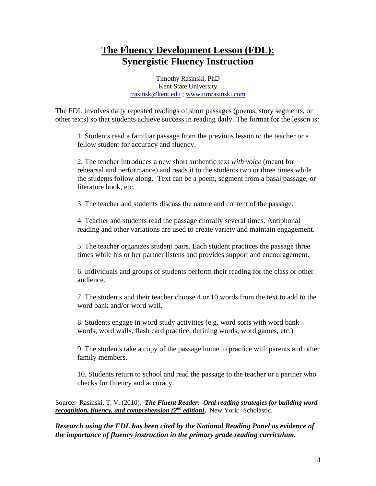### **The Fluency Development Lesson (FDL): Synergistic Fluency Instruction**

Timothy Rasinski, PhD Kent State University [trasinsk@kent.edu](mailto:trasinsk@kent.edu) ; [www.timrasinski.com](http://www.timrasinski.com/)

The FDL involves daily repeated readings of short passages (poems, story segments, or other texts) so that students achieve success in reading daily. The format for the lesson is:

1. Students read a familiar passage from the previous lesson to the teacher or a fellow student for accuracy and fluency.

2. The teacher introduces a new short authentic text *with voice* (meant for rehearsal and performance) and reads it to the students two or three times while the students follow along. Text can be a poem, segment from a basal passage, or literature book, etc.

3. The teacher and students discuss the nature and content of the passage.

4. Teacher and students read the passage chorally several times. Antiphonal reading and other variations are used to create variety and maintain engagement.

5. The teacher organizes student pairs. Each student practices the passage three times while his or her partner listens and provides support and encouragement.

6. Individuals and groups of students perform their reading for the class or other audience.

7. The students and their teacher choose 4 or 10 words from the text to add to the word bank and/or word wall.

8. Students engage in word study activities (e.g. word sorts with word bank words, word walls, flash card practice, defining words, word games, etc.)

9. The students take a copy of the passage home to practice with parents and other family members.

10. Students return to school and read the passage to the teacher or a partner who checks for fluency and accuracy.

Source: Rasinski, T. V. (2010). *The Fluent Reader: Oral reading strategies for building word recognition, fluency, and comprehension (2nd edition)***.** New York: Scholastic.

*Research using the FDL has been cited by the National Reading Panel as evidence of the importance of fluency instruction in the primary grade reading curriculum.*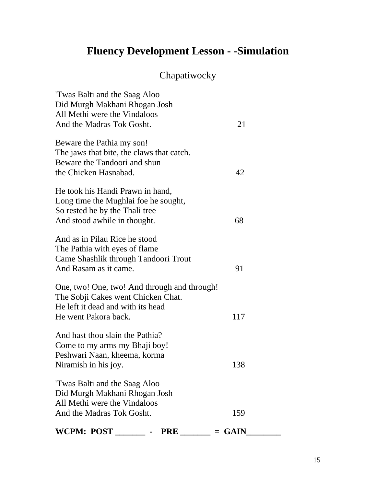## **Fluency Development Lesson - -Simulation**

## Chapatiwocky

| WCPM: POST<br>PRE                                                                                                                               | $=$ GAIN |
|-------------------------------------------------------------------------------------------------------------------------------------------------|----------|
| Twas Balti and the Saag Aloo<br>Did Murgh Makhani Rhogan Josh<br>All Methi were the Vindaloos<br>And the Madras Tok Gosht.                      | 159      |
| And hast thou slain the Pathia?<br>Come to my arms my Bhaji boy!<br>Peshwari Naan, kheema, korma<br>Niramish in his joy.                        | 138      |
| One, two! One, two! And through and through!<br>The Sobji Cakes went Chicken Chat.<br>He left it dead and with its head<br>He went Pakora back. | 117      |
| And as in Pilau Rice he stood<br>The Pathia with eyes of flame<br>Came Shashlik through Tandoori Trout<br>And Rasam as it came.                 | 91       |
| He took his Handi Prawn in hand,<br>Long time the Mughlai foe he sought,<br>So rested he by the Thali tree<br>And stood awhile in thought.      | 68       |
| Beware the Pathia my son!<br>The jaws that bite, the claws that catch.<br>Beware the Tandoori and shun<br>the Chicken Hasnabad.                 | 42       |
| Twas Balti and the Saag Aloo<br>Did Murgh Makhani Rhogan Josh<br>All Methi were the Vindaloos<br>And the Madras Tok Gosht.                      | 21       |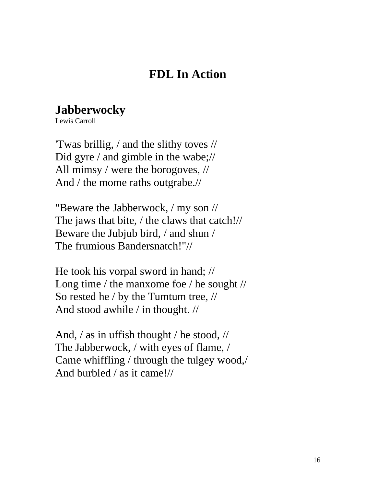## **FDL In Action**

## **Jabberwocky**

Lewis Carroll

'Twas brillig, / and the slithy toves // Did gyre / and gimble in the wabe;// All mimsy / were the borogoves, // And / the mome raths outgrabe.//

"Beware the Jabberwock, / my son // The jaws that bite, / the claws that catch!// Beware the Jubjub bird, / and shun / The frumious Bandersnatch!"//

He took his vorpal sword in hand; // Long time / the manxome foe / he sought // So rested he / by the Tumtum tree, // And stood awhile / in thought. //

And, / as in uffish thought / he stood, // The Jabberwock, / with eyes of flame, / Came whiffling / through the tulgey wood,/ And burbled / as it came!//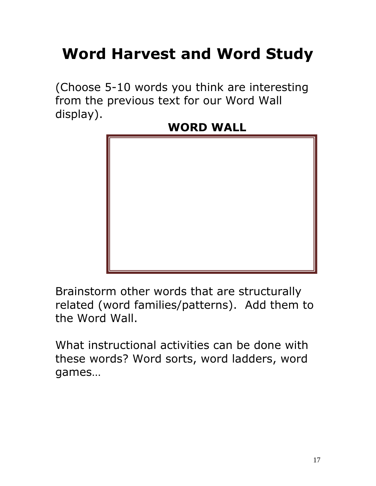# **Word Harvest and Word Study**

(Choose 5-10 words you think are interesting from the previous text for our Word Wall display).

## **WORD WALL**



Brainstorm other words that are structurally related (word families/patterns). Add them to the Word Wall.

What instructional activities can be done with these words? Word sorts, word ladders, word games…